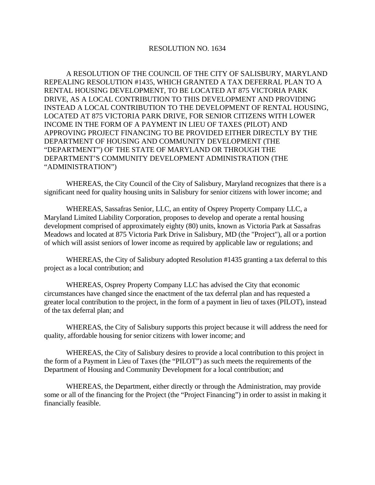## RESOLUTION NO. 1634

A RESOLUTION OF THE COUNCIL OF THE CITY OF SALISBURY, MARYLAND REPEALING RESOLUTION #1435, WHICH GRANTED A TAX DEFERRAL PLAN TO A RENTAL HOUSING DEVELOPMENT, TO BE LOCATED AT 875 VICTORIA PARK DRIVE, AS A LOCAL CONTRIBUTION TO THIS DEVELOPMENT AND PROVIDING INSTEAD A LOCAL CONTRIBUTION TO THE DEVELOPMENT OF RENTAL HOUSING, LOCATED AT 875 VICTORIA PARK DRIVE, FOR SENIOR CITIZENS WITH LOWER INCOME IN THE FORM OF A PAYMENT IN LIEU OF TAXES (PILOT) AND APPROVING PROJECT FINANCING TO BE PROVIDED EITHER DIRECTLY BY THE DEPARTMENT OF HOUSING AND COMMUNITY DEVELOPMENT (THE "DEPARTMENT") OF THE STATE OF MARYLAND OR THROUGH THE DEPARTMENT'S COMMUNITY DEVELOPMENT ADMINISTRATION (THE "ADMINISTRATION")

 WHEREAS, the City Council of the City of Salisbury, Maryland recognizes that there is a significant need for quality housing units in Salisbury for senior citizens with lower income; and

 WHEREAS, Sassafras Senior, LLC, an entity of Osprey Property Company LLC, a Maryland Limited Liability Corporation, proposes to develop and operate a rental housing development comprised of approximately eighty (80) units, known as Victoria Park at Sassafras Meadows and located at 875 Victoria Park Drive in Salisbury, MD (the "Project"), all or a portion of which will assist seniors of lower income as required by applicable law or regulations; and

 WHEREAS, the City of Salisbury adopted Resolution #1435 granting a tax deferral to this project as a local contribution; and

 WHEREAS, Osprey Property Company LLC has advised the City that economic circumstances have changed since the enactment of the tax deferral plan and has requested a greater local contribution to the project, in the form of a payment in lieu of taxes (PILOT), instead of the tax deferral plan; and

 WHEREAS, the City of Salisbury supports this project because it will address the need for quality, affordable housing for senior citizens with lower income; and

 WHEREAS, the City of Salisbury desires to provide a local contribution to this project in the form of a Payment in Lieu of Taxes (the "PILOT") as such meets the requirements of the Department of Housing and Community Development for a local contribution; and

 WHEREAS, the Department, either directly or through the Administration, may provide some or all of the financing for the Project (the "Project Financing") in order to assist in making it financially feasible.